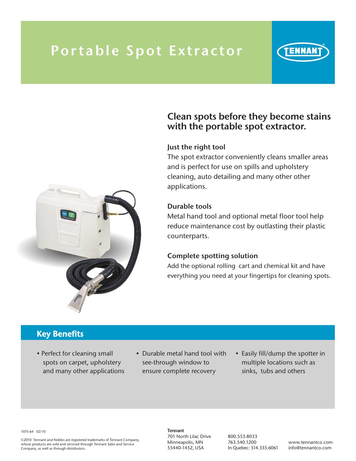# Portable Spot Extractor





## Clean spots before they become stains with the portable spot extractor.

#### Just the right tool

The spot extractor conveniently cleans smaller areas and is perfect for use on spills and upholstery cleaning, auto detailing and many other other applications.

#### Durable tools

Metal hand tool and optional metal floor tool help reduce maintenance cost by outlasting their plastic counterparts.

#### Complete spotting solution

Add the optional rolling cart and chemical kit and have everything you need at your fingertips for cleaning spots.

### Key Benefits

- Perfect for cleaning small spots on carpet, upholstery and many other applications
- Durable metal hand tool with see-through window to ensure complete recovery
- Easily fill/dump the spotter in multiple locations such as sinks, tubs and others

1075-64 02/10

©2010 Tennant and Nobles are registered trademarks of Tennant Company, whose products are sold and serviced through Tennant Sales and Service Company, as well as through distributors.

Tennant 701 North Lilac Drive Minneapolis, MN 55440-1452, USA

800.553.8033 763.540.1200 In Quebec: 514.335.6061